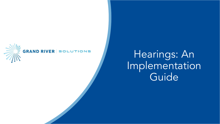

#### **GRAND RIVER SOLUTIONS**

# **\** Hearings: An Implementation **Guide**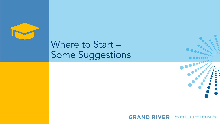

## Where to Start – Some Suggestions

#### GRAND RIVER SOLUTIONS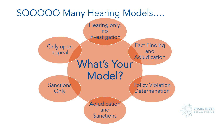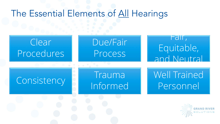### The Essential Elements of All Hearings

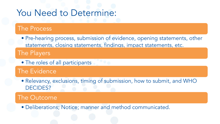### You Need to Determine:

### The Process

- Pre-hearing process, submission of evidence, opening statements, other statements, closing statements, findings, impact statements, etc. The Players
	- The roles of all participants

The Evidence

• Relevancy, exclusions, timing of submission, how to submit, and WHO DECIDES?

### The Outcome

• Deliberations; Notice; manner and method communicated.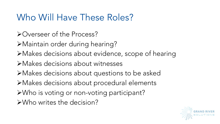## Who Will Have These Roles?

- ØOverseer of the Process?
- ØMaintain order during hearing?
- ØMakes decisions about evidence, scope of hearing
- ØMakes decisions about witnesses
- ØMakes decisions about questions to be asked
- ØMakes decisions about procedural elements
- ØWho is voting or non-voting participant?
- ØWho writes the decision?

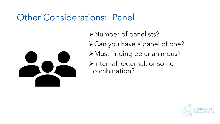### Other Considerations: Panel



ØNumber of panelists? ØCan you have a panel of one? ØMust finding be unanimous? ØInternal, external, or some combination?

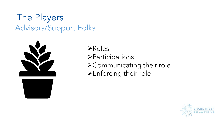### The Players Advisors/Support Folks



- $\triangleright$  Roles
- **>Participations**
- ØCommunicating their role
- ØEnforcing their role

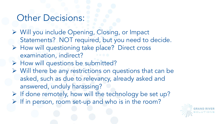### Other Decisions:

- Ø Will you include Opening, Closing, or Impact Statements? NOT required, but you need to decide.
- Ø How will questioning take place? Direct cross examination, indirect?
- Ø How will questions be submitted?
- Ø Will there be any restrictions on questions that can be asked, such as due to relevancy, already asked and answered, unduly harassing?
- $\triangleright$  If done remotely, how will the technology be set up?  $\triangleright$  If in person, room set-up and who is in the room?